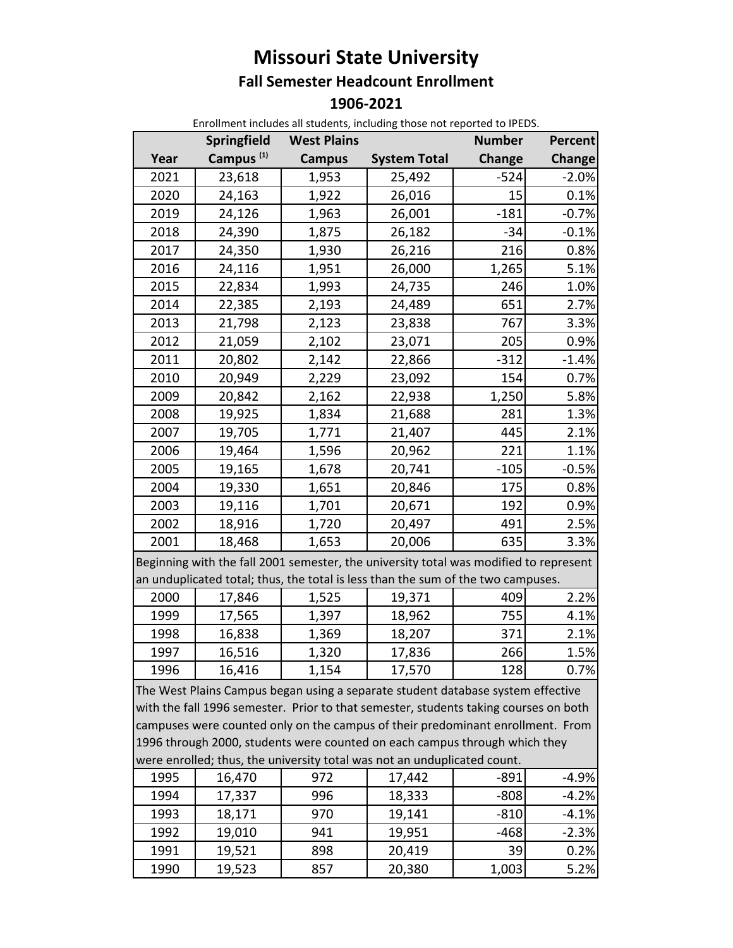## **Missouri State University Fall Semester Headcount Enrollment 1906‐2021**

| <b>Springfield</b><br><b>West Plains</b><br><b>Number</b><br>Percent<br>Campus <sup>(1)</sup><br>Year<br><b>System Total</b><br>Change<br>Change<br><b>Campus</b><br>2021<br>$-524$<br>23,618<br>1,953<br>$-2.0%$<br>25,492<br>2020<br>24,163<br>1,922<br>26,016<br>0.1%<br>15<br>2019<br>$-181$<br>24,126<br>1,963<br>26,001<br>$-0.7%$<br>2018<br>$-34$<br>24,390<br>1,875<br>26,182<br>$-0.1%$<br>0.8%<br>2017<br>24,350<br>26,216<br>216<br>1,930<br>2016<br>1,265<br>5.1%<br>24,116<br>1,951<br>26,000<br>2015<br>246<br>1.0%<br>22,834<br>1,993<br>24,735<br>2014<br>22,385<br>2,193<br>24,489<br>651<br>2.7%<br>2013<br>21,798<br>2,123<br>23,838<br>767<br>3.3%<br>2012<br>2,102<br>205<br>21,059<br>23,071<br>0.9%<br>2011<br>$-1.4%$<br>20,802<br>2,142<br>22,866<br>$-312$<br>2010<br>20,949<br>2,229<br>23,092<br>154<br>0.7%<br>2009<br>20,842<br>2,162<br>1,250<br>5.8%<br>22,938<br>2008<br>19,925<br>281<br>1.3%<br>1,834<br>21,688<br>2007<br>19,705<br>1,771<br>21,407<br>445<br>2.1%<br>2006<br>19,464<br>20,962<br>221<br>1.1%<br>1,596<br>$-0.5%$<br>2005<br>19,165<br>1,678<br>20,741<br>$-105$<br>2004<br>19,330<br>20,846<br>175<br>0.8%<br>1,651<br>2003<br>19,116<br>20,671<br>1,701<br>192<br>0.9%<br>2002<br>18,916<br>20,497<br>491<br>2.5%<br>1,720<br>2001<br>18,468<br>20,006<br>635<br>1,653<br>3.3%<br>Beginning with the fall 2001 semester, the university total was modified to represent |  |  |  |  |  |  |  |  |
|--------------------------------------------------------------------------------------------------------------------------------------------------------------------------------------------------------------------------------------------------------------------------------------------------------------------------------------------------------------------------------------------------------------------------------------------------------------------------------------------------------------------------------------------------------------------------------------------------------------------------------------------------------------------------------------------------------------------------------------------------------------------------------------------------------------------------------------------------------------------------------------------------------------------------------------------------------------------------------------------------------------------------------------------------------------------------------------------------------------------------------------------------------------------------------------------------------------------------------------------------------------------------------------------------------------------------------------------------------------------------------------------------------------------------------|--|--|--|--|--|--|--|--|
|                                                                                                                                                                                                                                                                                                                                                                                                                                                                                                                                                                                                                                                                                                                                                                                                                                                                                                                                                                                                                                                                                                                                                                                                                                                                                                                                                                                                                                |  |  |  |  |  |  |  |  |
|                                                                                                                                                                                                                                                                                                                                                                                                                                                                                                                                                                                                                                                                                                                                                                                                                                                                                                                                                                                                                                                                                                                                                                                                                                                                                                                                                                                                                                |  |  |  |  |  |  |  |  |
|                                                                                                                                                                                                                                                                                                                                                                                                                                                                                                                                                                                                                                                                                                                                                                                                                                                                                                                                                                                                                                                                                                                                                                                                                                                                                                                                                                                                                                |  |  |  |  |  |  |  |  |
|                                                                                                                                                                                                                                                                                                                                                                                                                                                                                                                                                                                                                                                                                                                                                                                                                                                                                                                                                                                                                                                                                                                                                                                                                                                                                                                                                                                                                                |  |  |  |  |  |  |  |  |
|                                                                                                                                                                                                                                                                                                                                                                                                                                                                                                                                                                                                                                                                                                                                                                                                                                                                                                                                                                                                                                                                                                                                                                                                                                                                                                                                                                                                                                |  |  |  |  |  |  |  |  |
|                                                                                                                                                                                                                                                                                                                                                                                                                                                                                                                                                                                                                                                                                                                                                                                                                                                                                                                                                                                                                                                                                                                                                                                                                                                                                                                                                                                                                                |  |  |  |  |  |  |  |  |
|                                                                                                                                                                                                                                                                                                                                                                                                                                                                                                                                                                                                                                                                                                                                                                                                                                                                                                                                                                                                                                                                                                                                                                                                                                                                                                                                                                                                                                |  |  |  |  |  |  |  |  |
|                                                                                                                                                                                                                                                                                                                                                                                                                                                                                                                                                                                                                                                                                                                                                                                                                                                                                                                                                                                                                                                                                                                                                                                                                                                                                                                                                                                                                                |  |  |  |  |  |  |  |  |
|                                                                                                                                                                                                                                                                                                                                                                                                                                                                                                                                                                                                                                                                                                                                                                                                                                                                                                                                                                                                                                                                                                                                                                                                                                                                                                                                                                                                                                |  |  |  |  |  |  |  |  |
|                                                                                                                                                                                                                                                                                                                                                                                                                                                                                                                                                                                                                                                                                                                                                                                                                                                                                                                                                                                                                                                                                                                                                                                                                                                                                                                                                                                                                                |  |  |  |  |  |  |  |  |
|                                                                                                                                                                                                                                                                                                                                                                                                                                                                                                                                                                                                                                                                                                                                                                                                                                                                                                                                                                                                                                                                                                                                                                                                                                                                                                                                                                                                                                |  |  |  |  |  |  |  |  |
|                                                                                                                                                                                                                                                                                                                                                                                                                                                                                                                                                                                                                                                                                                                                                                                                                                                                                                                                                                                                                                                                                                                                                                                                                                                                                                                                                                                                                                |  |  |  |  |  |  |  |  |
|                                                                                                                                                                                                                                                                                                                                                                                                                                                                                                                                                                                                                                                                                                                                                                                                                                                                                                                                                                                                                                                                                                                                                                                                                                                                                                                                                                                                                                |  |  |  |  |  |  |  |  |
|                                                                                                                                                                                                                                                                                                                                                                                                                                                                                                                                                                                                                                                                                                                                                                                                                                                                                                                                                                                                                                                                                                                                                                                                                                                                                                                                                                                                                                |  |  |  |  |  |  |  |  |
|                                                                                                                                                                                                                                                                                                                                                                                                                                                                                                                                                                                                                                                                                                                                                                                                                                                                                                                                                                                                                                                                                                                                                                                                                                                                                                                                                                                                                                |  |  |  |  |  |  |  |  |
|                                                                                                                                                                                                                                                                                                                                                                                                                                                                                                                                                                                                                                                                                                                                                                                                                                                                                                                                                                                                                                                                                                                                                                                                                                                                                                                                                                                                                                |  |  |  |  |  |  |  |  |
|                                                                                                                                                                                                                                                                                                                                                                                                                                                                                                                                                                                                                                                                                                                                                                                                                                                                                                                                                                                                                                                                                                                                                                                                                                                                                                                                                                                                                                |  |  |  |  |  |  |  |  |
|                                                                                                                                                                                                                                                                                                                                                                                                                                                                                                                                                                                                                                                                                                                                                                                                                                                                                                                                                                                                                                                                                                                                                                                                                                                                                                                                                                                                                                |  |  |  |  |  |  |  |  |
|                                                                                                                                                                                                                                                                                                                                                                                                                                                                                                                                                                                                                                                                                                                                                                                                                                                                                                                                                                                                                                                                                                                                                                                                                                                                                                                                                                                                                                |  |  |  |  |  |  |  |  |
|                                                                                                                                                                                                                                                                                                                                                                                                                                                                                                                                                                                                                                                                                                                                                                                                                                                                                                                                                                                                                                                                                                                                                                                                                                                                                                                                                                                                                                |  |  |  |  |  |  |  |  |
|                                                                                                                                                                                                                                                                                                                                                                                                                                                                                                                                                                                                                                                                                                                                                                                                                                                                                                                                                                                                                                                                                                                                                                                                                                                                                                                                                                                                                                |  |  |  |  |  |  |  |  |
|                                                                                                                                                                                                                                                                                                                                                                                                                                                                                                                                                                                                                                                                                                                                                                                                                                                                                                                                                                                                                                                                                                                                                                                                                                                                                                                                                                                                                                |  |  |  |  |  |  |  |  |
|                                                                                                                                                                                                                                                                                                                                                                                                                                                                                                                                                                                                                                                                                                                                                                                                                                                                                                                                                                                                                                                                                                                                                                                                                                                                                                                                                                                                                                |  |  |  |  |  |  |  |  |
| an unduplicated total; thus, the total is less than the sum of the two campuses.                                                                                                                                                                                                                                                                                                                                                                                                                                                                                                                                                                                                                                                                                                                                                                                                                                                                                                                                                                                                                                                                                                                                                                                                                                                                                                                                               |  |  |  |  |  |  |  |  |
| 2000<br>409<br>2.2%<br>17,846<br>1,525<br>19,371                                                                                                                                                                                                                                                                                                                                                                                                                                                                                                                                                                                                                                                                                                                                                                                                                                                                                                                                                                                                                                                                                                                                                                                                                                                                                                                                                                               |  |  |  |  |  |  |  |  |
| 1999<br>755<br>17,565<br>4.1%<br>1,397<br>18,962                                                                                                                                                                                                                                                                                                                                                                                                                                                                                                                                                                                                                                                                                                                                                                                                                                                                                                                                                                                                                                                                                                                                                                                                                                                                                                                                                                               |  |  |  |  |  |  |  |  |
| 1998<br>16,838<br>2.1%<br>1,369<br>18,207<br>371                                                                                                                                                                                                                                                                                                                                                                                                                                                                                                                                                                                                                                                                                                                                                                                                                                                                                                                                                                                                                                                                                                                                                                                                                                                                                                                                                                               |  |  |  |  |  |  |  |  |
| 16,516<br>266<br>1.5%<br>1997<br>1,320<br>17,836                                                                                                                                                                                                                                                                                                                                                                                                                                                                                                                                                                                                                                                                                                                                                                                                                                                                                                                                                                                                                                                                                                                                                                                                                                                                                                                                                                               |  |  |  |  |  |  |  |  |
| 1996<br>16,416<br>1,154<br>17,570<br>128<br>0.7%                                                                                                                                                                                                                                                                                                                                                                                                                                                                                                                                                                                                                                                                                                                                                                                                                                                                                                                                                                                                                                                                                                                                                                                                                                                                                                                                                                               |  |  |  |  |  |  |  |  |
| The West Plains Campus began using a separate student database system effective<br>with the fall 1996 semester. Prior to that semester, students taking courses on both<br>campuses were counted only on the campus of their predominant enrollment. From<br>1996 through 2000, students were counted on each campus through which they<br>were enrolled; thus, the university total was not an unduplicated count.                                                                                                                                                                                                                                                                                                                                                                                                                                                                                                                                                                                                                                                                                                                                                                                                                                                                                                                                                                                                            |  |  |  |  |  |  |  |  |
| 1995<br>16,470<br>972<br>17,442<br>-891<br>-4.9%                                                                                                                                                                                                                                                                                                                                                                                                                                                                                                                                                                                                                                                                                                                                                                                                                                                                                                                                                                                                                                                                                                                                                                                                                                                                                                                                                                               |  |  |  |  |  |  |  |  |
| 996<br>1994<br>$-808$<br>18,333<br>$-4.2%$<br>17,337                                                                                                                                                                                                                                                                                                                                                                                                                                                                                                                                                                                                                                                                                                                                                                                                                                                                                                                                                                                                                                                                                                                                                                                                                                                                                                                                                                           |  |  |  |  |  |  |  |  |
| 1993<br>970<br>$-810$<br>19,141<br>$-4.1%$<br>18,171                                                                                                                                                                                                                                                                                                                                                                                                                                                                                                                                                                                                                                                                                                                                                                                                                                                                                                                                                                                                                                                                                                                                                                                                                                                                                                                                                                           |  |  |  |  |  |  |  |  |
| $-468$<br>1992<br>941<br>$-2.3%$<br>19,010<br>19,951                                                                                                                                                                                                                                                                                                                                                                                                                                                                                                                                                                                                                                                                                                                                                                                                                                                                                                                                                                                                                                                                                                                                                                                                                                                                                                                                                                           |  |  |  |  |  |  |  |  |
| 1991<br>19,521<br>898<br>20,419<br>39<br>0.2%                                                                                                                                                                                                                                                                                                                                                                                                                                                                                                                                                                                                                                                                                                                                                                                                                                                                                                                                                                                                                                                                                                                                                                                                                                                                                                                                                                                  |  |  |  |  |  |  |  |  |
| 1,003<br>1990<br>5.2%<br>19,523<br>857<br>20,380                                                                                                                                                                                                                                                                                                                                                                                                                                                                                                                                                                                                                                                                                                                                                                                                                                                                                                                                                                                                                                                                                                                                                                                                                                                                                                                                                                               |  |  |  |  |  |  |  |  |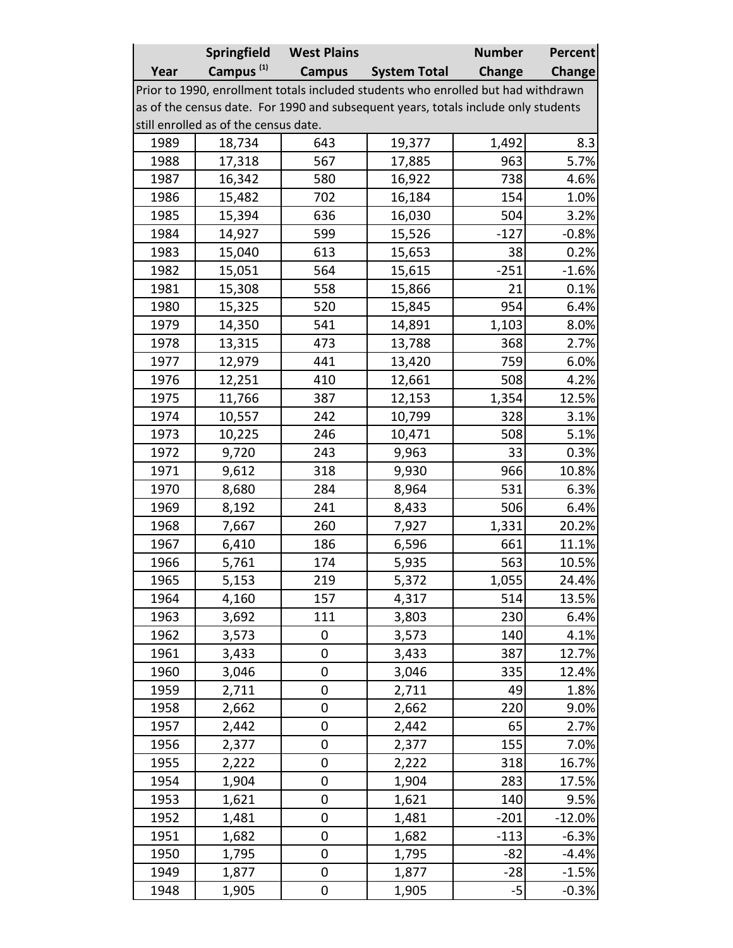|                                                                                    | Springfield           | <b>West Plains</b> |                     | <b>Number</b> | <b>Percent</b> |  |  |  |  |
|------------------------------------------------------------------------------------|-----------------------|--------------------|---------------------|---------------|----------------|--|--|--|--|
| Year                                                                               | Campus <sup>(1)</sup> | <b>Campus</b>      | <b>System Total</b> | Change        | <b>Change</b>  |  |  |  |  |
| Prior to 1990, enrollment totals included students who enrolled but had withdrawn  |                       |                    |                     |               |                |  |  |  |  |
| as of the census date. For 1990 and subsequent years, totals include only students |                       |                    |                     |               |                |  |  |  |  |
| still enrolled as of the census date.                                              |                       |                    |                     |               |                |  |  |  |  |
| 1989                                                                               | 18,734                | 643                | 19,377              | 1,492         | 8.3            |  |  |  |  |
| 1988                                                                               | 17,318                | 567                | 17,885              | 963           | 5.7%           |  |  |  |  |
| 1987                                                                               | 16,342                | 580                | 16,922              | 738           | 4.6%           |  |  |  |  |
| 1986                                                                               | 15,482                | 702                | 16,184              | 154           | 1.0%           |  |  |  |  |
| 1985                                                                               | 15,394                | 636                | 16,030              | 504           | 3.2%           |  |  |  |  |
| 1984                                                                               | 14,927                | 599                | 15,526              | $-127$        | $-0.8%$        |  |  |  |  |
| 1983                                                                               | 15,040                | 613                | 15,653              | 38            | 0.2%           |  |  |  |  |
| 1982                                                                               | 15,051                | 564                | 15,615              | $-251$        | $-1.6%$        |  |  |  |  |
| 1981                                                                               | 15,308                | 558                | 15,866              | 21            | 0.1%           |  |  |  |  |
| 1980                                                                               | 15,325                | 520                | 15,845              | 954           | 6.4%           |  |  |  |  |
| 1979                                                                               | 14,350                | 541                | 14,891              | 1,103         | 8.0%           |  |  |  |  |
| 1978                                                                               | 13,315                | 473                | 13,788              | 368           | 2.7%           |  |  |  |  |
| 1977                                                                               | 12,979                | 441                | 13,420              | 759           | 6.0%           |  |  |  |  |
| 1976                                                                               | 12,251                | 410                | 12,661              | 508           | 4.2%           |  |  |  |  |
| 1975                                                                               | 11,766                | 387                | 12,153              | 1,354         | 12.5%          |  |  |  |  |
| 1974                                                                               | 10,557                | 242                | 10,799              | 328           | 3.1%           |  |  |  |  |
| 1973                                                                               | 10,225                | 246                | 10,471              | 508           | 5.1%           |  |  |  |  |
| 1972                                                                               | 9,720                 | 243                | 9,963               | 33            | 0.3%           |  |  |  |  |
| 1971                                                                               | 9,612                 | 318                | 9,930               | 966           | 10.8%          |  |  |  |  |
| 1970                                                                               | 8,680                 | 284                | 8,964               | 531           | 6.3%           |  |  |  |  |
| 1969                                                                               | 8,192                 | 241                | 8,433               | 506           | 6.4%           |  |  |  |  |
| 1968                                                                               | 7,667                 | 260                | 7,927               | 1,331         | 20.2%          |  |  |  |  |
| 1967                                                                               | 6,410                 | 186                | 6,596               | 661           | 11.1%          |  |  |  |  |
| 1966                                                                               | 5,761                 | 174                | 5,935               | 563           | 10.5%          |  |  |  |  |
| 1965                                                                               | 5,153                 | 219                | 5,372               | 1,055         | 24.4%          |  |  |  |  |
| 1964                                                                               | 4,160                 | 157                | 4,317               | 514           | 13.5%          |  |  |  |  |
| 1963                                                                               | 3,692                 | 111                | 3,803               | 230           | 6.4%           |  |  |  |  |
| 1962                                                                               | 3,573                 | 0                  | 3,573               | 140           | 4.1%           |  |  |  |  |
| 1961                                                                               | 3,433                 | 0                  | 3,433               | 387           | 12.7%          |  |  |  |  |
| 1960                                                                               | 3,046                 | 0                  | 3,046               | 335           | 12.4%          |  |  |  |  |
| 1959                                                                               | 2,711                 | $\mathbf 0$        | 2,711               | 49            | 1.8%           |  |  |  |  |
| 1958                                                                               | 2,662                 | $\mathbf 0$        | 2,662               | 220           | 9.0%           |  |  |  |  |
| 1957                                                                               | 2,442                 | 0                  | 2,442               | 65            | 2.7%           |  |  |  |  |
| 1956                                                                               | 2,377                 | 0                  | 2,377               | 155           | 7.0%           |  |  |  |  |
| 1955                                                                               | 2,222                 | $\mathbf 0$        | 2,222               | 318           | 16.7%          |  |  |  |  |
| 1954                                                                               | 1,904                 | $\mathbf 0$        | 1,904               | 283           | 17.5%          |  |  |  |  |
| 1953                                                                               | 1,621                 | 0                  | 1,621               | 140           | 9.5%           |  |  |  |  |
| 1952                                                                               | 1,481                 | $\mathbf 0$        | 1,481               | $-201$        | $-12.0%$       |  |  |  |  |
| 1951                                                                               | 1,682                 | 0                  | 1,682               | $-113$        | $-6.3%$        |  |  |  |  |
| 1950                                                                               | 1,795                 | 0                  | 1,795               | $-82$         | $-4.4%$        |  |  |  |  |
| 1949                                                                               | 1,877                 | 0                  | 1,877               | $-28$         | $-1.5%$        |  |  |  |  |
| 1948                                                                               | 1,905                 | $\mathbf 0$        | 1,905               | $-5$          | $-0.3%$        |  |  |  |  |